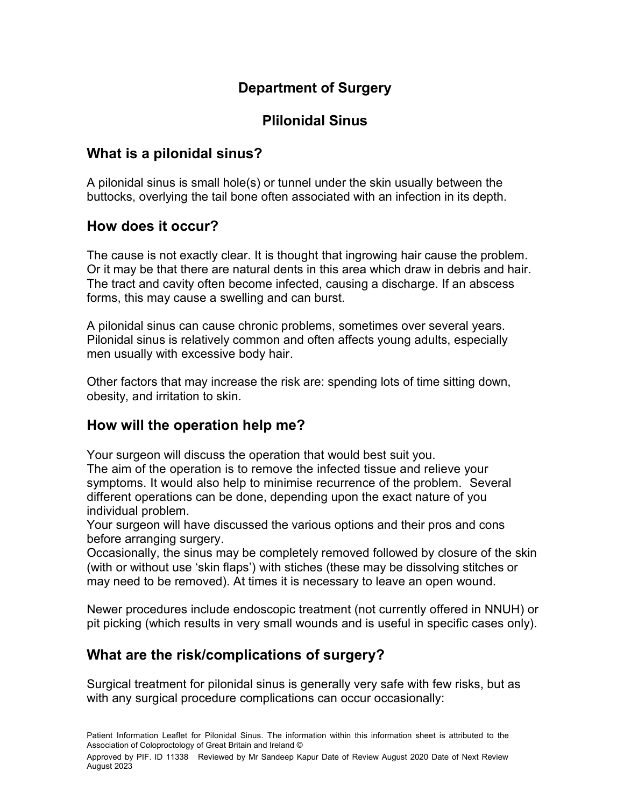# **Department of Surgery**

# **Plilonidal Sinus**

### **What is a pilonidal sinus?**

A pilonidal sinus is small hole(s) or tunnel under the skin usually between the buttocks, overlying the tail bone often associated with an infection in its depth.

#### **How does it occur?**

The cause is not exactly clear. It is thought that ingrowing hair cause the problem. Or it may be that there are natural dents in this area which draw in debris and hair. The tract and cavity often become infected, causing a discharge. If an abscess forms, this may cause a swelling and can burst.

A pilonidal sinus can cause chronic problems, sometimes over several years. Pilonidal sinus is relatively common and often affects young adults, especially men usually with excessive body hair.

Other factors that may increase the risk are: spending lots of time sitting down, obesity, and irritation to skin.

### **How will the operation help me?**

Your surgeon will discuss the operation that would best suit you. The aim of the operation is to remove the infected tissue and relieve your symptoms. It would also help to minimise recurrence of the problem. Several different operations can be done, depending upon the exact nature of you individual problem.

Your surgeon will have discussed the various options and their pros and cons before arranging surgery.

Occasionally, the sinus may be completely removed followed by closure of the skin (with or without use 'skin flaps') with stiches (these may be dissolving stitches or may need to be removed). At times it is necessary to leave an open wound.

Newer procedures include endoscopic treatment (not currently offered in NNUH) or pit picking (which results in very small wounds and is useful in specific cases only).

### **What are the risk/complications of surgery?**

Surgical treatment for pilonidal sinus is generally very safe with few risks, but as with any surgical procedure complications can occur occasionally:

Approved by PIF. ID 11338 Reviewed by Mr Sandeep Kapur Date of Review August 2020 Date of Next Review August 2023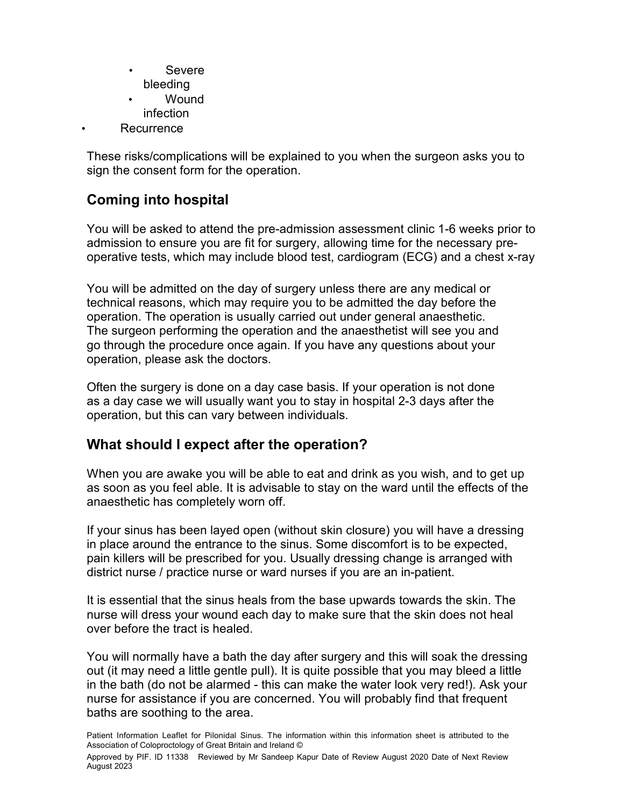- Severe bleeding
- Wound infection
- **Recurrence**

These risks/complications will be explained to you when the surgeon asks you to sign the consent form for the operation.

## **Coming into hospital**

You will be asked to attend the pre-admission assessment clinic 1-6 weeks prior to admission to ensure you are fit for surgery, allowing time for the necessary preoperative tests, which may include blood test, cardiogram (ECG) and a chest x-ray

You will be admitted on the day of surgery unless there are any medical or technical reasons, which may require you to be admitted the day before the operation. The operation is usually carried out under general anaesthetic. The surgeon performing the operation and the anaesthetist will see you and go through the procedure once again. If you have any questions about your operation, please ask the doctors.

Often the surgery is done on a day case basis. If your operation is not done as a day case we will usually want you to stay in hospital 2-3 days after the operation, but this can vary between individuals.

### **What should I expect after the operation?**

When you are awake you will be able to eat and drink as you wish, and to get up as soon as you feel able. It is advisable to stay on the ward until the effects of the anaesthetic has completely worn off.

If your sinus has been layed open (without skin closure) you will have a dressing in place around the entrance to the sinus. Some discomfort is to be expected, pain killers will be prescribed for you. Usually dressing change is arranged with district nurse / practice nurse or ward nurses if you are an in-patient.

It is essential that the sinus heals from the base upwards towards the skin. The nurse will dress your wound each day to make sure that the skin does not heal over before the tract is healed.

You will normally have a bath the day after surgery and this will soak the dressing out (it may need a little gentle pull). It is quite possible that you may bleed a little in the bath (do not be alarmed - this can make the water look very red!). Ask your nurse for assistance if you are concerned. You will probably find that frequent baths are soothing to the area.

Patient Information Leaflet for Pilonidal Sinus. The information within this information sheet is attributed to the Association of Coloproctology of Great Britain and Ireland ©

Approved by PIF. ID 11338 Reviewed by Mr Sandeep Kapur Date of Review August 2020 Date of Next Review August 2023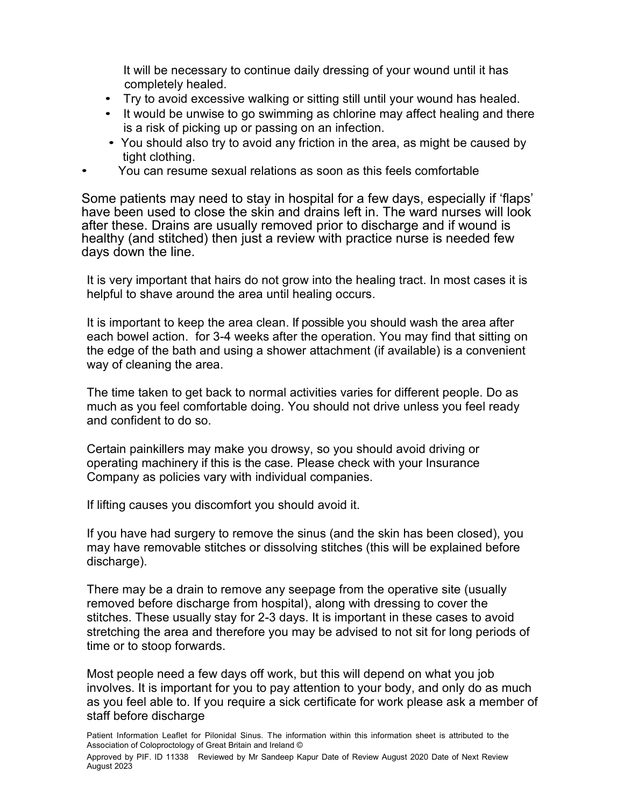It will be necessary to continue daily dressing of your wound until it has completely healed.

- Try to avoid excessive walking or sitting still until your wound has healed.
- It would be unwise to go swimming as chlorine may affect healing and there is a risk of picking up or passing on an infection.
- You should also try to avoid any friction in the area, as might be caused by tight clothing.
- You can resume sexual relations as soon as this feels comfortable

Some patients may need to stay in hospital for a few days, especially if 'flaps' have been used to close the skin and drains left in. The ward nurses will look after these. Drains are usually removed prior to discharge and if wound is healthy (and stitched) then just a review with practice nurse is needed few days down the line.

It is very important that hairs do not grow into the healing tract. In most cases it is helpful to shave around the area until healing occurs.

It is important to keep the area clean. If possible you should wash the area after each bowel action. for 3-4 weeks after the operation. You may find that sitting on the edge of the bath and using a shower attachment (if available) is a convenient way of cleaning the area.

The time taken to get back to normal activities varies for different people. Do as much as you feel comfortable doing. You should not drive unless you feel ready and confident to do so.

Certain painkillers may make you drowsy, so you should avoid driving or operating machinery if this is the case. Please check with your Insurance Company as policies vary with individual companies.

If lifting causes you discomfort you should avoid it.

If you have had surgery to remove the sinus (and the skin has been closed), you may have removable stitches or dissolving stitches (this will be explained before discharge).

There may be a drain to remove any seepage from the operative site (usually removed before discharge from hospital), along with dressing to cover the stitches. These usually stay for 2-3 days. It is important in these cases to avoid stretching the area and therefore you may be advised to not sit for long periods of time or to stoop forwards.

Most people need a few days off work, but this will depend on what you job involves. It is important for you to pay attention to your body, and only do as much as you feel able to. If you require a sick certificate for work please ask a member of staff before discharge

Patient Information Leaflet for Pilonidal Sinus. The information within this information sheet is attributed to the Association of Coloproctology of Great Britain and Ireland ©

Approved by PIF. ID 11338 Reviewed by Mr Sandeep Kapur Date of Review August 2020 Date of Next Review August 2023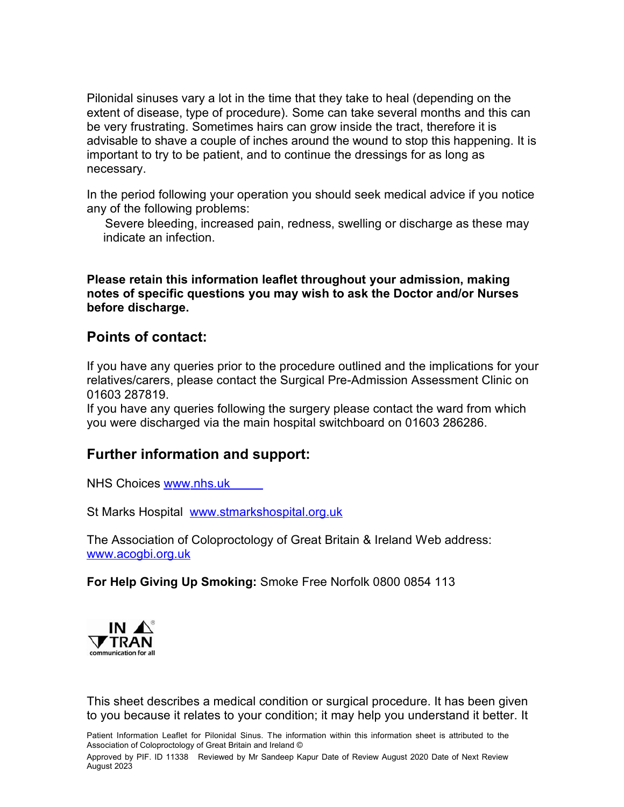Pilonidal sinuses vary a lot in the time that they take to heal (depending on the extent of disease, type of procedure). Some can take several months and this can be very frustrating. Sometimes hairs can grow inside the tract, therefore it is advisable to shave a couple of inches around the wound to stop this happening. It is important to try to be patient, and to continue the dressings for as long as necessary.

In the period following your operation you should seek medical advice if you notice any of the following problems:

Severe bleeding, increased pain, redness, swelling or discharge as these may indicate an infection.

**Please retain this information leaflet throughout your admission, making notes of specific questions you may wish to ask the Doctor and/or Nurses before discharge.**

#### **Points of contact:**

If you have any queries prior to the procedure outlined and the implications for your relatives/carers, please contact the Surgical Pre-Admission Assessment Clinic on 01603 287819.

If you have any queries following the surgery please contact the ward from which you were discharged via the main hospital switchboard on 01603 286286.

### **Further information and support:**

NHS Choices www.nhs.uk

St Marks Hospital www.stmarkshospital.org.uk

The Association of Coloproctology of Great Britain & Ireland Web address: www.acogbi.org.uk

**For Help Giving Up Smoking:** Smoke Free Norfolk 0800 0854 113



This sheet describes a medical condition or surgical procedure. It has been given to you because it relates to your condition; it may help you understand it better. It

Patient Information Leaflet for Pilonidal Sinus. The information within this information sheet is attributed to the Association of Coloproctology of Great Britain and Ireland ©

Approved by PIF. ID 11338 Reviewed by Mr Sandeep Kapur Date of Review August 2020 Date of Next Review August 2023